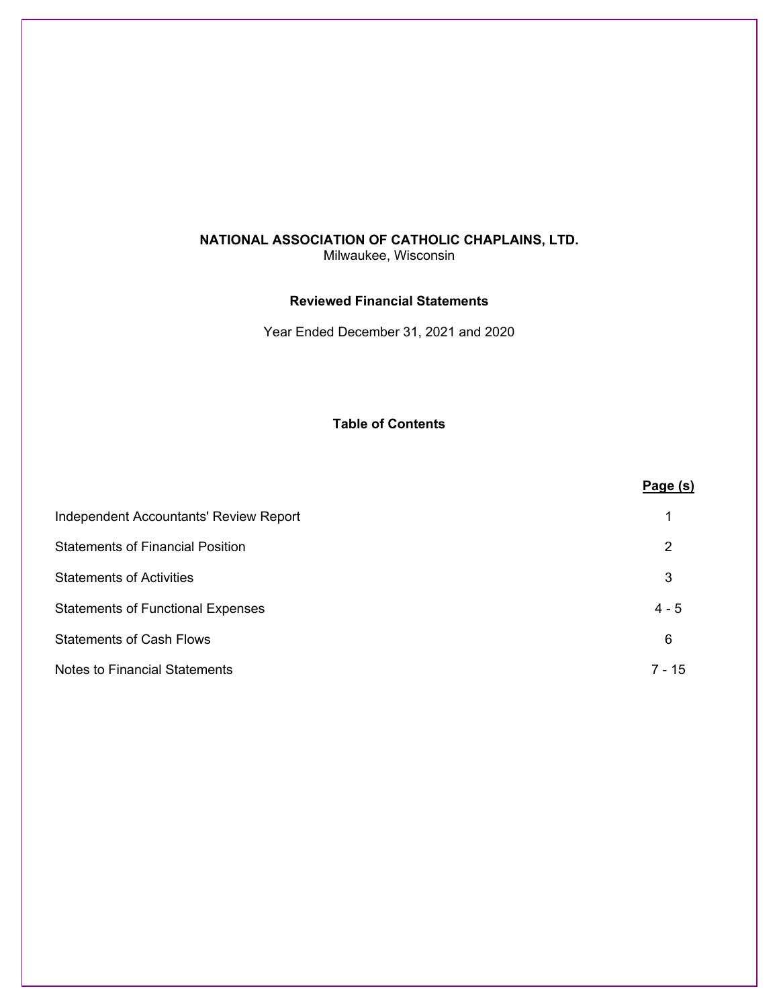Milwaukee, Wisconsin

### **Reviewed Financial Statements**

Year Ended December 31, 2021 and 2020

**Table of Contents** 

|                                          | Page(s)  |
|------------------------------------------|----------|
| Independent Accountants' Review Report   |          |
| <b>Statements of Financial Position</b>  | 2        |
| <b>Statements of Activities</b>          | 3        |
| <b>Statements of Functional Expenses</b> | $4 - 5$  |
| <b>Statements of Cash Flows</b>          | 6        |
| Notes to Financial Statements            | $7 - 15$ |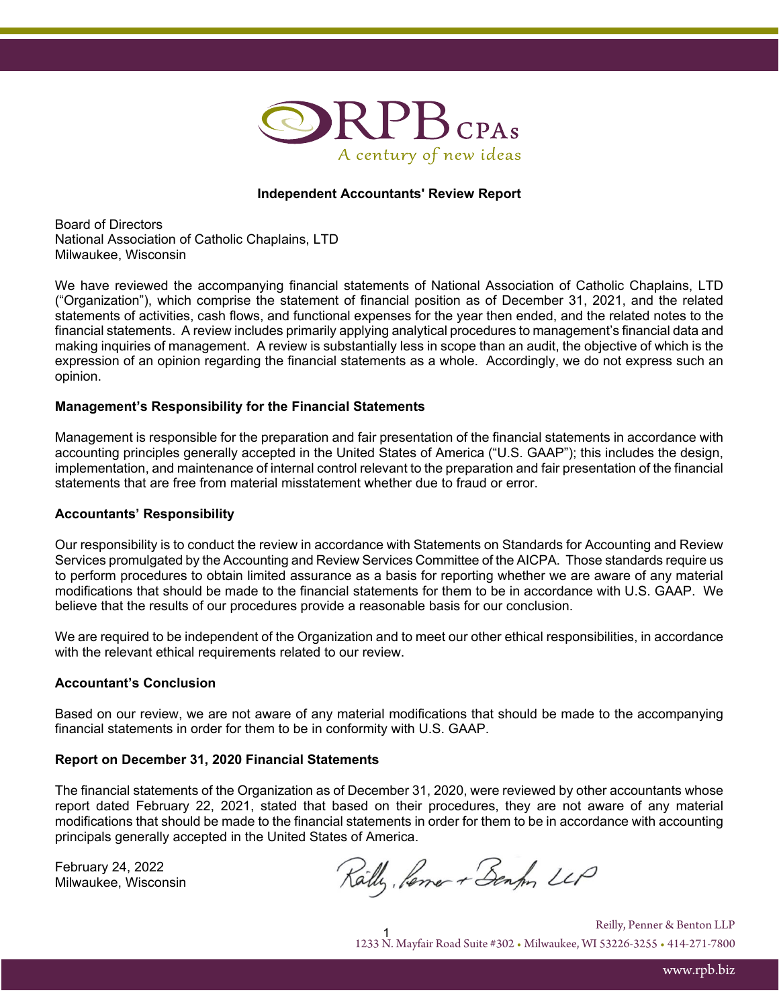

### **Independent Accountants' Review Report**

Board of Directors National Association of Catholic Chaplains, LTD Milwaukee, Wisconsin

We have reviewed the accompanying financial statements of National Association of Catholic Chaplains, LTD ("Organization"), which comprise the statement of financial position as of December 31, 2021, and the related statements of activities, cash flows, and functional expenses for the year then ended, and the related notes to the financial statements. A review includes primarily applying analytical procedures to management's financial data and making inquiries of management. A review is substantially less in scope than an audit, the objective of which is the expression of an opinion regarding the financial statements as a whole. Accordingly, we do not express such an opinion.

### **Management's Responsibility for the Financial Statements**

Management is responsible for the preparation and fair presentation of the financial statements in accordance with accounting principles generally accepted in the United States of America ("U.S. GAAP"); this includes the design, implementation, and maintenance of internal control relevant to the preparation and fair presentation of the financial statements that are free from material misstatement whether due to fraud or error.

#### **Accountants' Responsibility**

Our responsibility is to conduct the review in accordance with Statements on Standards for Accounting and Review Services promulgated by the Accounting and Review Services Committee of the AICPA. Those standards require us to perform procedures to obtain limited assurance as a basis for reporting whether we are aware of any material modifications that should be made to the financial statements for them to be in accordance with U.S. GAAP. We believe that the results of our procedures provide a reasonable basis for our conclusion.

We are required to be independent of the Organization and to meet our other ethical responsibilities, in accordance with the relevant ethical requirements related to our review.

#### **Accountant's Conclusion**

Based on our review, we are not aware of any material modifications that should be made to the accompanying financial statements in order for them to be in conformity with U.S. GAAP.

#### **Report on December 31, 2020 Financial Statements**

The financial statements of the Organization as of December 31, 2020, were reviewed by other accountants whose report dated February 22, 2021, stated that based on their procedures, they are not aware of any material modifications that should be made to the financial statements in order for them to be in accordance with accounting principals generally accepted in the United States of America.

February 24, 2022 Milwaukee, Wisconsin

Railly, Permer + Benfor LLP

1 1233 N. Mayfair Road Suite #302 • Milwaukee, WI 53226-3255 • 414-271-7800 Reilly, Penner & Benton LLP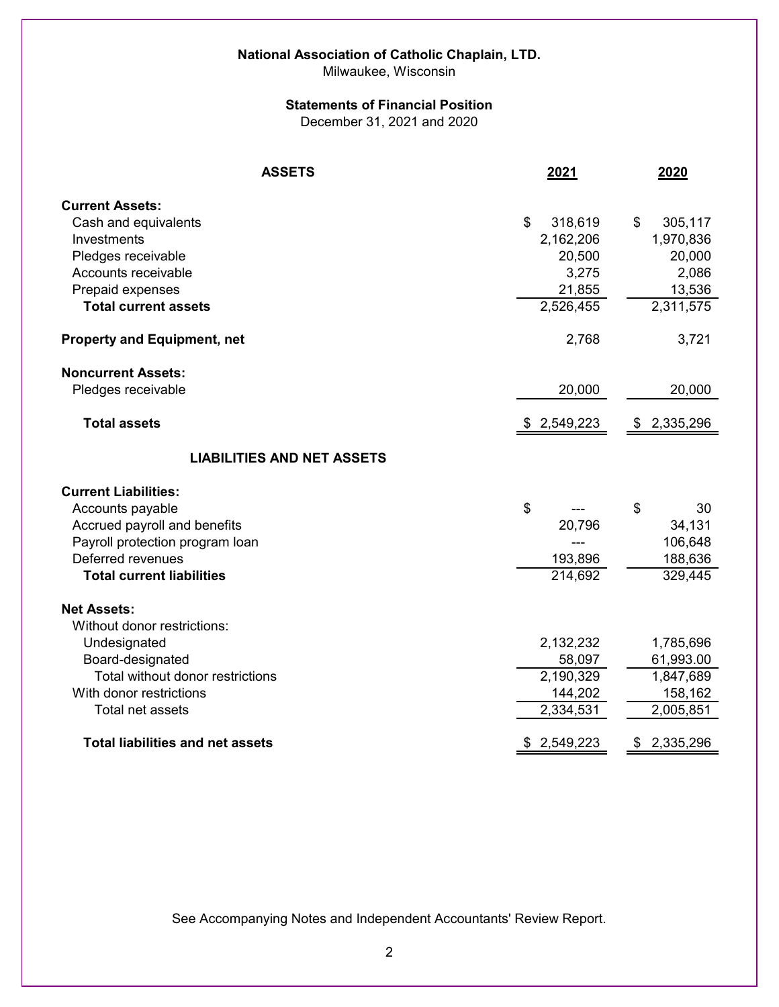# **National Association of Catholic Chaplain, LTD.**

Milwaukee, Wisconsin

### **Statements of Financial Position**

December 31, 2021 and 2020

| <b>ASSETS</b>                                                                                                                                                                                                       | 2021                                                                              | 2020                                                                           |
|---------------------------------------------------------------------------------------------------------------------------------------------------------------------------------------------------------------------|-----------------------------------------------------------------------------------|--------------------------------------------------------------------------------|
| <b>Current Assets:</b><br>Cash and equivalents<br>Investments<br>Pledges receivable<br>Accounts receivable<br>Prepaid expenses<br><b>Total current assets</b>                                                       | \$<br>318,619<br>2,162,206<br>20,500<br>3,275<br>21,855<br>$\overline{2,}526,455$ | 305,117<br>\$<br>1,970,836<br>20,000<br>2,086<br>13,536<br>2,311,575           |
| <b>Property and Equipment, net</b>                                                                                                                                                                                  | 2,768                                                                             | 3,721                                                                          |
| <b>Noncurrent Assets:</b><br>Pledges receivable<br><b>Total assets</b>                                                                                                                                              | 20,000<br>\$2,549,223                                                             | 20,000<br>\$2,335,296                                                          |
| <b>LIABILITIES AND NET ASSETS</b>                                                                                                                                                                                   |                                                                                   |                                                                                |
| <b>Current Liabilities:</b><br>Accounts payable<br>Accrued payroll and benefits<br>Payroll protection program loan<br>Deferred revenues<br><b>Total current liabilities</b>                                         | \$<br>20,796<br>193,896<br>214,692                                                | \$<br>30<br>34,131<br>106,648<br>188,636<br>329,445                            |
| <b>Net Assets:</b><br>Without donor restrictions:<br>Undesignated<br>Board-designated<br>Total without donor restrictions<br>With donor restrictions<br>Total net assets<br><b>Total liabilities and net assets</b> | 2,132,232<br>58,097<br>2,190,329<br>144,202<br>2,334,531<br>\$2,549,223           | 1,785,696<br>61,993.00<br>1,847,689<br>158,162<br>2,005,851<br>2,335,296<br>\$ |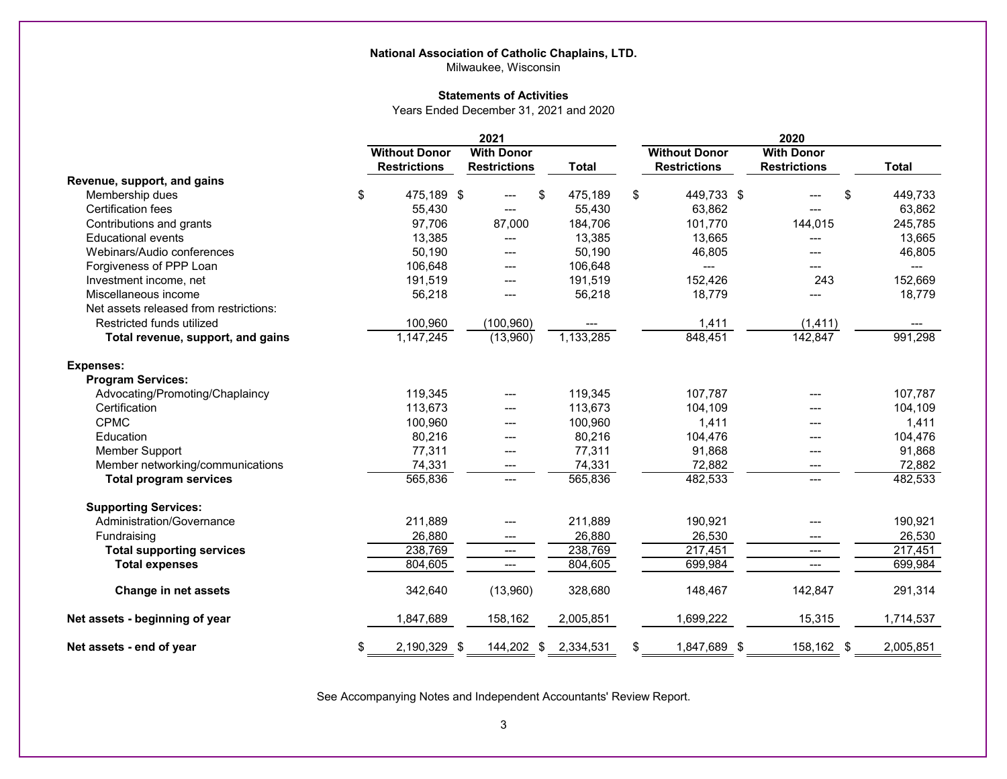### **National Association of Catholic Chaplains, LTD.**

Milwaukee, Wisconsin

#### **Statements of Activities**

Years Ended December 31, 2021 and 2020

|                                        | 2021                 |  |                     |    |              | 2020                 |  |                     |              |
|----------------------------------------|----------------------|--|---------------------|----|--------------|----------------------|--|---------------------|--------------|
|                                        | <b>Without Donor</b> |  | <b>With Donor</b>   |    |              | <b>Without Donor</b> |  | <b>With Donor</b>   |              |
|                                        | <b>Restrictions</b>  |  | <b>Restrictions</b> |    | <b>Total</b> | <b>Restrictions</b>  |  | <b>Restrictions</b> | <b>Total</b> |
| Revenue, support, and gains            |                      |  |                     |    |              |                      |  |                     |              |
| Membership dues                        | \$<br>475,189 \$     |  |                     | \$ | 475,189      | \$<br>449,733 \$     |  | \$                  | 449,733      |
| Certification fees                     | 55,430               |  |                     |    | 55,430       | 63,862               |  |                     | 63,862       |
| Contributions and grants               | 97,706               |  | 87,000              |    | 184,706      | 101,770              |  | 144,015             | 245,785      |
| <b>Educational events</b>              | 13,385               |  |                     |    | 13,385       | 13,665               |  |                     | 13,665       |
| Webinars/Audio conferences             | 50,190               |  |                     |    | 50,190       | 46,805               |  |                     | 46,805       |
| Forgiveness of PPP Loan                | 106,648              |  | ---                 |    | 106,648      | $\overline{a}$       |  |                     | ---          |
| Investment income, net                 | 191,519              |  |                     |    | 191,519      | 152,426              |  | 243                 | 152,669      |
| Miscellaneous income                   | 56,218               |  |                     |    | 56,218       | 18,779               |  |                     | 18,779       |
| Net assets released from restrictions: |                      |  |                     |    |              |                      |  |                     |              |
| Restricted funds utilized              | 100,960              |  | (100, 960)          |    |              | 1,411                |  | (1, 411)            | ---          |
| Total revenue, support, and gains      | 1,147,245            |  | (13,960)            |    | 1,133,285    | 848,451              |  | 142,847             | 991,298      |
| <b>Expenses:</b>                       |                      |  |                     |    |              |                      |  |                     |              |
| <b>Program Services:</b>               |                      |  |                     |    |              |                      |  |                     |              |
| Advocating/Promoting/Chaplaincy        | 119.345              |  |                     |    | 119,345      | 107,787              |  |                     | 107,787      |
| Certification                          | 113,673              |  |                     |    | 113,673      | 104,109              |  |                     | 104,109      |
| <b>CPMC</b>                            | 100,960              |  | ---                 |    | 100,960      | 1,411                |  | ---                 | 1,411        |
| Education                              | 80,216               |  |                     |    | 80,216       | 104,476              |  |                     | 104,476      |
| <b>Member Support</b>                  | 77,311               |  | ---                 |    | 77,311       | 91,868               |  | ---                 | 91,868       |
| Member networking/communications       | 74,331               |  | ---                 |    | 74,331       | 72,882               |  | ---                 | 72,882       |
| <b>Total program services</b>          | 565,836              |  | $---$               |    | 565,836      | 482,533              |  | $---$               | 482,533      |
| <b>Supporting Services:</b>            |                      |  |                     |    |              |                      |  |                     |              |
| Administration/Governance              | 211,889              |  |                     |    | 211,889      | 190,921              |  |                     | 190,921      |
| Fundraising                            | 26,880               |  | ---                 |    | 26,880       | 26,530               |  | ---                 | 26,530       |
| <b>Total supporting services</b>       | 238,769              |  | $---$               |    | 238,769      | 217,451              |  | ---                 | 217,451      |
| <b>Total expenses</b>                  | 804,605              |  | ---                 |    | 804,605      | 699,984              |  |                     | 699,984      |
| Change in net assets                   | 342,640              |  | (13,960)            |    | 328,680      | 148,467              |  | 142,847             | 291,314      |
| Net assets - beginning of year         | 1,847,689            |  | 158,162             |    | 2,005,851    | 1,699,222            |  | 15,315              | 1,714,537    |
| Net assets - end of year               | \$<br>2,190,329 \$   |  | 144,202 \$          |    | 2,334,531    | \$<br>1,847,689 \$   |  | 158,162 \$          | 2,005,851    |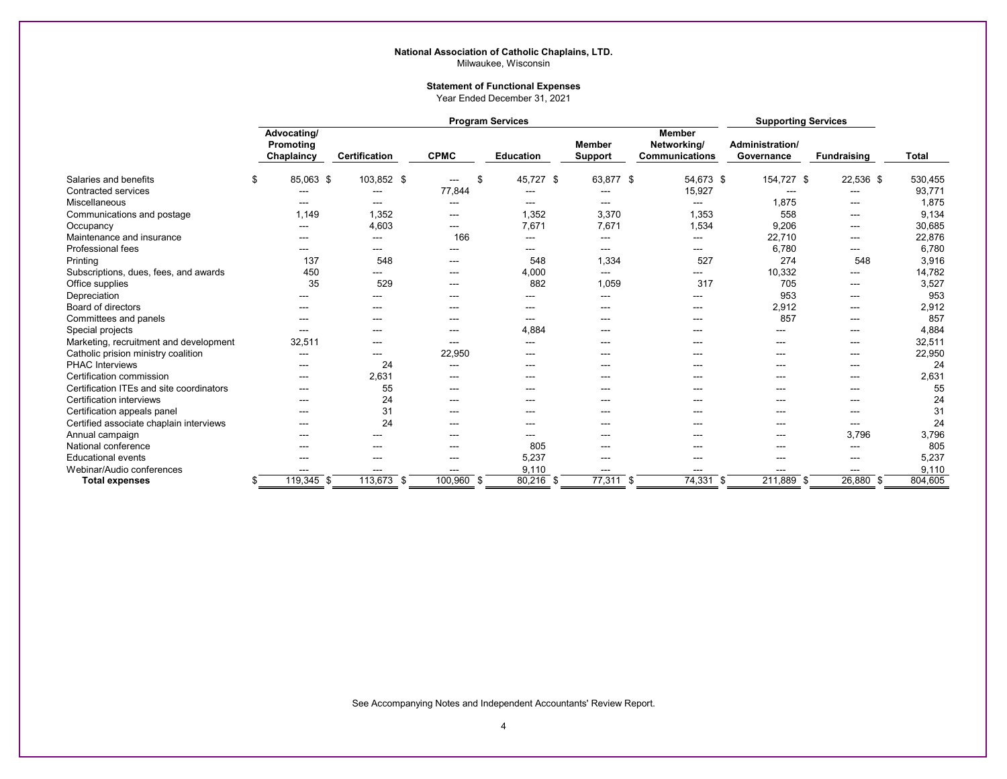#### **National Association of Catholic Chaplains, LTD.** Milwaukee, Wisconsin

#### **Statement of Functional Expenses**

Year Ended December 31, 2021

|                                          | <b>Program Services</b>                |                      |             |                        |                        |                          |                                                       | <b>Supporting Services</b>    |                    |              |
|------------------------------------------|----------------------------------------|----------------------|-------------|------------------------|------------------------|--------------------------|-------------------------------------------------------|-------------------------------|--------------------|--------------|
|                                          | Advocating/<br>Promoting<br>Chaplaincy | <b>Certification</b> | <b>CPMC</b> |                        | <b>Education</b>       | <b>Member</b><br>Support | <b>Member</b><br>Networking/<br><b>Communications</b> | Administration/<br>Governance | <b>Fundraising</b> | <b>Total</b> |
| Salaries and benefits                    | \$<br>85,063 \$                        | 103,852 \$           |             | \$<br>---              | 45,727 \$              | 63,877 \$                | 54,673 \$                                             | 154,727 \$                    | 22,536 \$          | 530,455      |
| <b>Contracted services</b>               | ---                                    | ---                  |             | 77,844                 | $\qquad \qquad \cdots$ | $---$                    | 15,927                                                | $-$                           | $---$              | 93,771       |
| Miscellaneous                            | ---                                    | $---$                |             | $---$                  | $\qquad \qquad \cdots$ | $---$                    | ---                                                   | 1,875                         | $---$              | 1,875        |
| Communications and postage               | 1,149                                  | 1,352                |             | ---                    | 1,352                  | 3,370                    | 1,353                                                 | 558                           | ---                | 9,134        |
| Occupancy                                | ---                                    | 4,603                |             | $- - -$                | 7,671                  | 7,671                    | 1,534                                                 | 9,206                         | $- - -$            | 30,685       |
| Maintenance and insurance                | ---                                    | ---                  |             | 166                    | ---                    | ---                      | ---                                                   | 22,710                        | $--$               | 22,876       |
| Professional fees                        | ---                                    | ---                  |             | ---                    | ---                    | ---                      | ---                                                   | 6,780                         | ---                | 6,780        |
| Printing                                 | 137                                    | 548                  |             | ---                    | 548                    | 1,334                    | 527                                                   | 274                           | 548                | 3,916        |
| Subscriptions, dues, fees, and awards    | 450                                    | ---                  |             | ---                    | 4,000                  | $\cdots$                 | ---                                                   | 10,332                        | $--$               | 14,782       |
| Office supplies                          | 35                                     | 529                  |             | ---                    | 882                    | 1,059                    | 317                                                   | 705                           | $- - -$            | 3,527        |
| Depreciation                             |                                        |                      |             | ---                    |                        | ---                      | ---                                                   | 953                           |                    | 953          |
| Board of directors                       | $---$                                  | $---$                |             | $--$                   | $\qquad \qquad \cdots$ | $---$                    | $---$                                                 | 2,912                         | $---$              | 2,912        |
| Committees and panels                    | ---                                    | ---                  |             | $- - -$                | $- - -$                |                          | ---                                                   | 857                           | ---                | 857          |
| Special projects                         | ---                                    | ---                  |             | $\qquad \qquad \cdots$ | 4,884                  | ---                      | ---                                                   | ---                           | $---$              | 4,884        |
| Marketing, recruitment and development   | 32,511                                 | $---$                |             | $\qquad \qquad \cdots$ | $\qquad \qquad \cdots$ | ---                      | ---                                                   | ---                           | $---$              | 32,511       |
| Catholic prision ministry coalition      | ---                                    | ---                  |             | 22,950                 | $- - -$                |                          | ---                                                   | ---                           | ---                | 22,950       |
| <b>PHAC Interviews</b>                   | ---                                    | 24                   |             | ---                    | $---$                  | ---                      | ---                                                   | $--$                          | $---$              | 24           |
| Certification commission                 | ---                                    | 2,631                |             | ---                    | $--$                   | ---                      | ---                                                   | $--$                          | $--$               | 2,631        |
| Certification ITEs and site coordinators | ---                                    | 55                   |             | ---                    | ---                    | ---                      |                                                       | ---                           | ---                | 55           |
| Certification interviews                 | ---                                    | 24                   |             | ---                    | ---                    | ---                      | ---                                                   | ---                           | ---                | 24           |
| Certification appeals panel              | ---                                    | 31                   |             | $---$                  | $--$                   | ---                      | ---                                                   | ---                           | $--$               | 31           |
| Certified associate chaplain interviews  | ---                                    | 24                   |             | ---                    | $- - -$                | ---                      | ---                                                   | ---                           | $---$              | 24           |
| Annual campaign                          | ---                                    |                      |             | ---                    | $\qquad \qquad \cdots$ | ---                      | $--$                                                  | $---$                         | 3,796              | 3,796        |
| National conference                      | ---                                    | ---                  |             | ---                    | 805                    | ---                      | ---                                                   | ---                           | $- - -$            | 805          |
| <b>Educational events</b>                | ---                                    | ---                  |             | ---                    | 5,237                  | ---                      | ---                                                   | ---                           | $- - -$            | 5,237        |
| Webinar/Audio conferences                | ---                                    | ---                  |             | ---                    | 9,110                  | ---                      | ---                                                   | ---                           |                    | 9,110        |
| Total expenses                           | $119,345$ \$                           | $113,673$ \$         |             | $100,960$ \$           | $80,216$ \$            | $77,311$ \$              | $74,331$ \$                                           | 211,889 \$                    | $26,880$ \$        | 804,605      |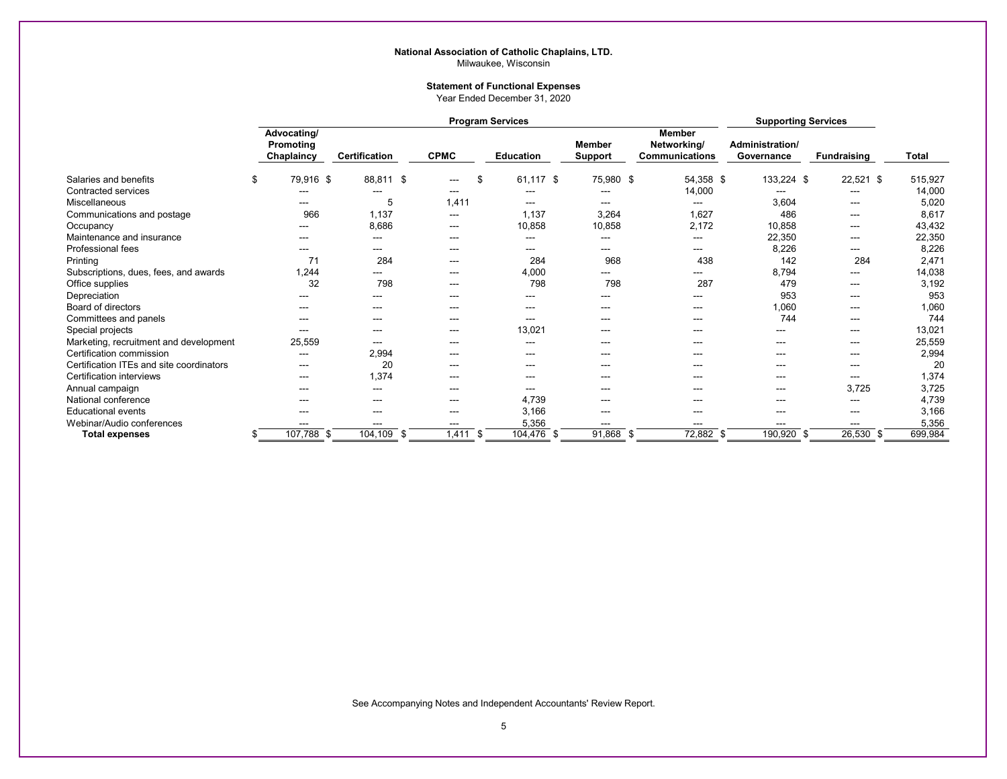#### **National Association of Catholic Chaplains, LTD.** Milwaukee, Wisconsin

#### **Statement of Functional Expenses**

Year Ended December 31, 2020

|                                          | <b>Program Services</b> |                                        |               |      |                        |      |                        | <b>Supporting Services</b>      |                                                       |                               |                        |         |
|------------------------------------------|-------------------------|----------------------------------------|---------------|------|------------------------|------|------------------------|---------------------------------|-------------------------------------------------------|-------------------------------|------------------------|---------|
|                                          |                         | Advocating/<br>Promoting<br>Chaplaincy | Certification |      | <b>CPMC</b>            |      | <b>Education</b>       | <b>Member</b><br><b>Support</b> | <b>Member</b><br>Networking/<br><b>Communications</b> | Administration/<br>Governance | <b>Fundraising</b>     | Total   |
| Salaries and benefits                    | \$                      | 79,916 \$                              | 88,811 \$     |      | ---                    | \$   | 61,117 \$              | 75,980 \$                       | 54,358 \$                                             | 133,224 \$                    | 22,521 \$              | 515,927 |
| <b>Contracted services</b>               |                         |                                        |               |      | $- - -$                |      |                        |                                 | 14,000                                                | ---                           | ---                    | 14,000  |
| Miscellaneous                            |                         | ---                                    | 5             |      | 1,411                  |      | $\qquad \qquad \cdots$ | ---                             | ---                                                   | 3,604                         | $\sim$ $\sim$          | 5,020   |
| Communications and postage               |                         | 966                                    | 1,137         |      | $\qquad \qquad \cdots$ |      | 1,137                  | 3,264                           | 1,627                                                 | 486                           | ---                    | 8,617   |
| Occupancy                                |                         |                                        | 8,686         |      | ---                    |      | 10,858                 | 10,858                          | 2,172                                                 | 10,858                        | $- - -$                | 43,432  |
| Maintenance and insurance                |                         | $---$                                  | ---           |      | ---                    |      | $--$                   | ---                             | ---                                                   | 22,350                        | $\sim$                 | 22,350  |
| Professional fees                        |                         | ---                                    | ---           |      | ---                    |      | ---                    | ---                             | ---                                                   | 8,226                         | ---                    | 8,226   |
| Printing                                 |                         | 71                                     | 284           |      | ---                    |      | 284                    | 968                             | 438                                                   | 142                           | 284                    | 2,471   |
| Subscriptions, dues, fees, and awards    |                         | 1,244                                  | ---           |      | ---                    |      | 4,000                  | ---                             | ---                                                   | 8,794                         | ---                    | 14,038  |
| Office supplies                          |                         | 32                                     | 798           |      | ---                    |      | 798                    | 798                             | 287                                                   | 479                           | $---$                  | 3,192   |
| Depreciation                             |                         |                                        |               |      | ---                    |      | ---                    |                                 | ---                                                   | 953                           | $--$                   | 953     |
| Board of directors                       |                         | $- - -$                                | ---           |      | ---                    |      | $- - -$                | ---                             | ---                                                   | 1,060                         | $\sim$ $\sim$          | 1,060   |
| Committees and panels                    |                         | ---                                    | ---           |      | ---                    |      | $---$                  | ---                             | ---                                                   | 744                           | $--$                   | 744     |
| Special projects                         |                         | ---                                    | ---           |      | $\qquad \qquad \cdots$ |      | 13,021                 | ---                             | ---                                                   | ---                           | ---                    | 13,021  |
| Marketing, recruitment and development   |                         | 25,559                                 | ---           |      | ---                    |      | ---                    | ---                             | ---                                                   | $---$                         | $\sim$ $\sim$          | 25,559  |
| Certification commission                 |                         | $---$                                  | 2,994         |      | ---                    |      | ---                    | ---                             | ---                                                   | $--$                          | ---                    | 2,994   |
| Certification ITEs and site coordinators |                         | $--$                                   | 20            |      | ---                    |      | $\qquad \qquad \cdots$ | ---                             | ---                                                   | ---                           | $\qquad \qquad -$      | 20      |
| Certification interviews                 |                         | $\qquad \qquad -$                      | 1,374         |      | ---                    |      | ---                    |                                 | ---                                                   | $---$                         | ---                    | 1,374   |
| Annual campaign                          |                         | ---                                    | ---           |      | ---                    |      | $- - -$                | ---                             | ---                                                   | ---                           | 3,725                  | 3,725   |
| National conference                      |                         | ---                                    | ---           |      | ---                    |      | 4,739                  | ---                             | ---                                                   | $---$                         | ---                    | 4,739   |
| <b>Educational events</b>                |                         | $--$                                   | ---           |      | ---                    |      | 3,166                  |                                 | ---                                                   | $---$                         | $\qquad \qquad \cdots$ | 3,166   |
| Webinar/Audio conferences                |                         | ---                                    | ---           |      | ---                    |      | 5,356                  | ---                             | ---                                                   | ---                           | $\sim$                 | 5,356   |
| <b>Total expenses</b>                    |                         | 107,788<br>- \$                        | 104,109       | - \$ | 1,411                  | - \$ | 104,476 \$             | 91,868 \$                       | 72,882 \$                                             | 190,920                       | 26,530                 | 699,984 |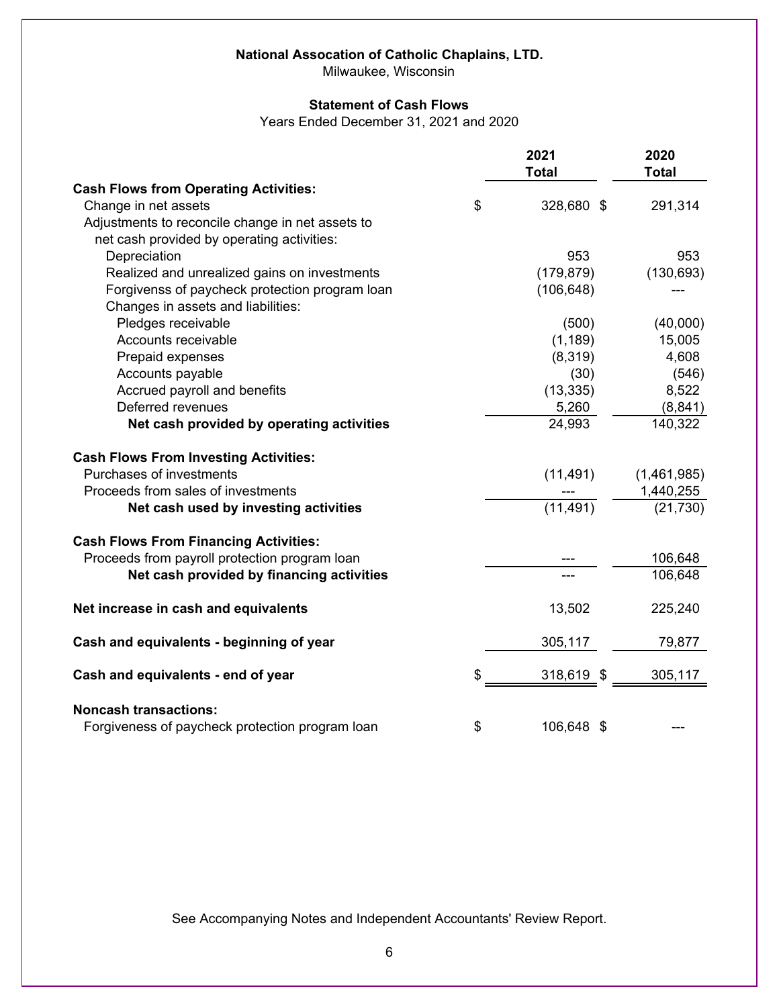# **National Assocation of Catholic Chaplains, LTD.**

Milwaukee, Wisconsin

### **Statement of Cash Flows**

Years Ended December 31, 2021 and 2020

|                                                  | 2021<br><b>Total</b> | 2020<br><b>Total</b> |
|--------------------------------------------------|----------------------|----------------------|
| <b>Cash Flows from Operating Activities:</b>     |                      |                      |
| Change in net assets                             | \$<br>328,680 \$     | 291,314              |
| Adjustments to reconcile change in net assets to |                      |                      |
| net cash provided by operating activities:       |                      |                      |
| Depreciation                                     | 953                  | 953                  |
| Realized and unrealized gains on investments     | (179, 879)           | (130, 693)           |
| Forgivenss of paycheck protection program loan   | (106, 648)           |                      |
| Changes in assets and liabilities:               |                      |                      |
| Pledges receivable                               | (500)                | (40,000)             |
| Accounts receivable                              | (1, 189)             | 15,005               |
| Prepaid expenses                                 | (8,319)              | 4,608                |
| Accounts payable                                 | (30)                 | (546)                |
| Accrued payroll and benefits                     | (13, 335)            | 8,522                |
| Deferred revenues                                | 5,260                | (8, 841)             |
| Net cash provided by operating activities        | 24,993               | 140,322              |
| <b>Cash Flows From Investing Activities:</b>     |                      |                      |
| Purchases of investments                         | (11, 491)            | (1,461,985)          |
| Proceeds from sales of investments               |                      | 1,440,255            |
| Net cash used by investing activities            | (11, 491)            | (21, 730)            |
| <b>Cash Flows From Financing Activities:</b>     |                      |                      |
| Proceeds from payroll protection program loan    |                      | 106,648              |
| Net cash provided by financing activities        |                      | 106,648              |
| Net increase in cash and equivalents             | 13,502               | 225,240              |
| Cash and equivalents - beginning of year         | 305,117              | 79,877               |
| Cash and equivalents - end of year               | \$<br>318,619 \$     | 305,117              |
| <b>Noncash transactions:</b>                     |                      |                      |
| Forgiveness of paycheck protection program loan  | \$<br>106,648<br>\$  |                      |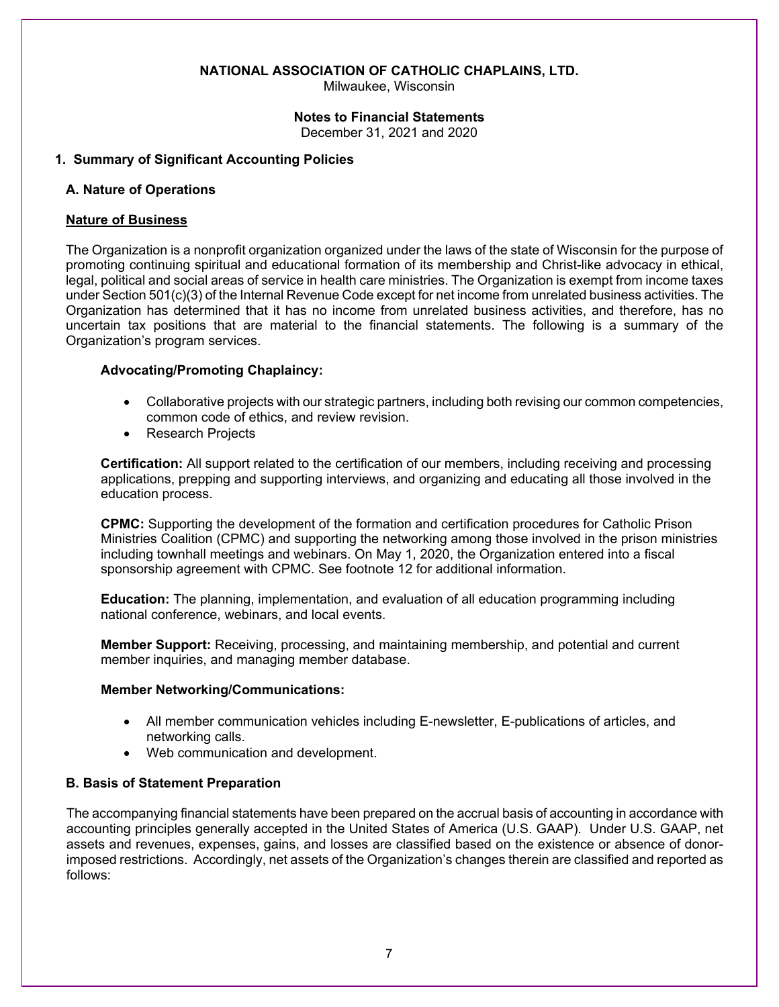Milwaukee, Wisconsin

#### **Notes to Financial Statements**

December 31, 2021 and 2020

#### **1. Summary of Significant Accounting Policies**

#### **A. Nature of Operations**

#### **Nature of Business**

The Organization is a nonprofit organization organized under the laws of the state of Wisconsin for the purpose of promoting continuing spiritual and educational formation of its membership and Christ-like advocacy in ethical, legal, political and social areas of service in health care ministries. The Organization is exempt from income taxes under Section 501(c)(3) of the Internal Revenue Code except for net income from unrelated business activities. The Organization has determined that it has no income from unrelated business activities, and therefore, has no uncertain tax positions that are material to the financial statements. The following is a summary of the Organization's program services.

#### **Advocating/Promoting Chaplaincy:**

- Collaborative projects with our strategic partners, including both revising our common competencies, common code of ethics, and review revision.
- Research Projects

**Certification:** All support related to the certification of our members, including receiving and processing applications, prepping and supporting interviews, and organizing and educating all those involved in the education process.

**CPMC:** Supporting the development of the formation and certification procedures for Catholic Prison Ministries Coalition (CPMC) and supporting the networking among those involved in the prison ministries including townhall meetings and webinars. On May 1, 2020, the Organization entered into a fiscal sponsorship agreement with CPMC. See footnote 12 for additional information.

**Education:** The planning, implementation, and evaluation of all education programming including national conference, webinars, and local events.

**Member Support:** Receiving, processing, and maintaining membership, and potential and current member inquiries, and managing member database.

#### **Member Networking/Communications:**

- All member communication vehicles including E-newsletter, E-publications of articles, and networking calls.
- Web communication and development.

### **B. Basis of Statement Preparation**

The accompanying financial statements have been prepared on the accrual basis of accounting in accordance with accounting principles generally accepted in the United States of America (U.S. GAAP). Under U.S. GAAP, net assets and revenues, expenses, gains, and losses are classified based on the existence or absence of donorimposed restrictions. Accordingly, net assets of the Organization's changes therein are classified and reported as follows: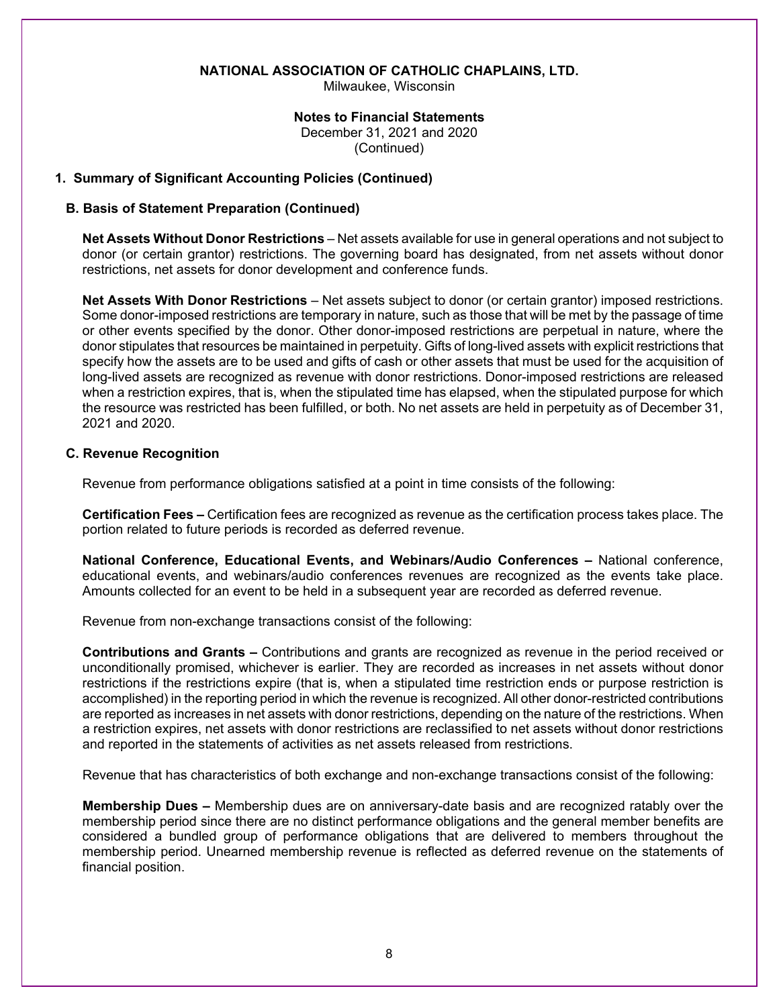Milwaukee, Wisconsin

### **Notes to Financial Statements**

 December 31, 2021 and 2020 (Continued)

### **1. Summary of Significant Accounting Policies (Continued)**

### **B. Basis of Statement Preparation (Continued)**

**Net Assets Without Donor Restrictions** – Net assets available for use in general operations and not subject to donor (or certain grantor) restrictions. The governing board has designated, from net assets without donor restrictions, net assets for donor development and conference funds.

**Net Assets With Donor Restrictions** – Net assets subject to donor (or certain grantor) imposed restrictions. Some donor-imposed restrictions are temporary in nature, such as those that will be met by the passage of time or other events specified by the donor. Other donor-imposed restrictions are perpetual in nature, where the donor stipulates that resources be maintained in perpetuity. Gifts of long-lived assets with explicit restrictions that specify how the assets are to be used and gifts of cash or other assets that must be used for the acquisition of long-lived assets are recognized as revenue with donor restrictions. Donor-imposed restrictions are released when a restriction expires, that is, when the stipulated time has elapsed, when the stipulated purpose for which the resource was restricted has been fulfilled, or both. No net assets are held in perpetuity as of December 31, 2021 and 2020.

### **C. Revenue Recognition**

Revenue from performance obligations satisfied at a point in time consists of the following:

**Certification Fees –** Certification fees are recognized as revenue as the certification process takes place. The portion related to future periods is recorded as deferred revenue.

**National Conference, Educational Events, and Webinars/Audio Conferences –** National conference, educational events, and webinars/audio conferences revenues are recognized as the events take place. Amounts collected for an event to be held in a subsequent year are recorded as deferred revenue.

Revenue from non-exchange transactions consist of the following:

**Contributions and Grants –** Contributions and grants are recognized as revenue in the period received or unconditionally promised, whichever is earlier. They are recorded as increases in net assets without donor restrictions if the restrictions expire (that is, when a stipulated time restriction ends or purpose restriction is accomplished) in the reporting period in which the revenue is recognized. All other donor-restricted contributions are reported as increases in net assets with donor restrictions, depending on the nature of the restrictions. When a restriction expires, net assets with donor restrictions are reclassified to net assets without donor restrictions and reported in the statements of activities as net assets released from restrictions.

Revenue that has characteristics of both exchange and non-exchange transactions consist of the following:

**Membership Dues –** Membership dues are on anniversary-date basis and are recognized ratably over the membership period since there are no distinct performance obligations and the general member benefits are considered a bundled group of performance obligations that are delivered to members throughout the membership period. Unearned membership revenue is reflected as deferred revenue on the statements of financial position.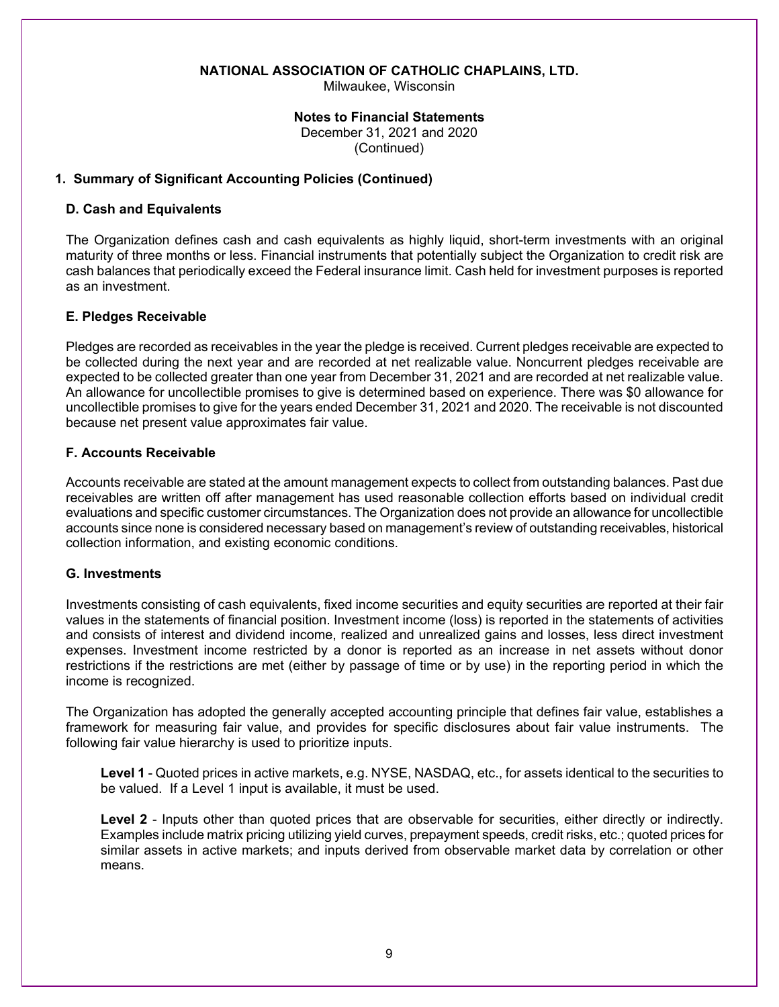Milwaukee, Wisconsin

#### **Notes to Financial Statements**

 December 31, 2021 and 2020 (Continued)

### **1. Summary of Significant Accounting Policies (Continued)**

### **D. Cash and Equivalents**

The Organization defines cash and cash equivalents as highly liquid, short-term investments with an original maturity of three months or less. Financial instruments that potentially subject the Organization to credit risk are cash balances that periodically exceed the Federal insurance limit. Cash held for investment purposes is reported as an investment.

### **E. Pledges Receivable**

Pledges are recorded as receivables in the year the pledge is received. Current pledges receivable are expected to be collected during the next year and are recorded at net realizable value. Noncurrent pledges receivable are expected to be collected greater than one year from December 31, 2021 and are recorded at net realizable value. An allowance for uncollectible promises to give is determined based on experience. There was \$0 allowance for uncollectible promises to give for the years ended December 31, 2021 and 2020. The receivable is not discounted because net present value approximates fair value.

## **F. Accounts Receivable**

Accounts receivable are stated at the amount management expects to collect from outstanding balances. Past due receivables are written off after management has used reasonable collection efforts based on individual credit evaluations and specific customer circumstances. The Organization does not provide an allowance for uncollectible accounts since none is considered necessary based on management's review of outstanding receivables, historical collection information, and existing economic conditions.

### **G. Investments**

Investments consisting of cash equivalents, fixed income securities and equity securities are reported at their fair values in the statements of financial position. Investment income (loss) is reported in the statements of activities and consists of interest and dividend income, realized and unrealized gains and losses, less direct investment expenses. Investment income restricted by a donor is reported as an increase in net assets without donor restrictions if the restrictions are met (either by passage of time or by use) in the reporting period in which the income is recognized.

The Organization has adopted the generally accepted accounting principle that defines fair value, establishes a framework for measuring fair value, and provides for specific disclosures about fair value instruments. The following fair value hierarchy is used to prioritize inputs.

**Level 1** - Quoted prices in active markets, e.g. NYSE, NASDAQ, etc., for assets identical to the securities to be valued. If a Level 1 input is available, it must be used.

**Level 2** - Inputs other than quoted prices that are observable for securities, either directly or indirectly. Examples include matrix pricing utilizing yield curves, prepayment speeds, credit risks, etc.; quoted prices for similar assets in active markets; and inputs derived from observable market data by correlation or other means.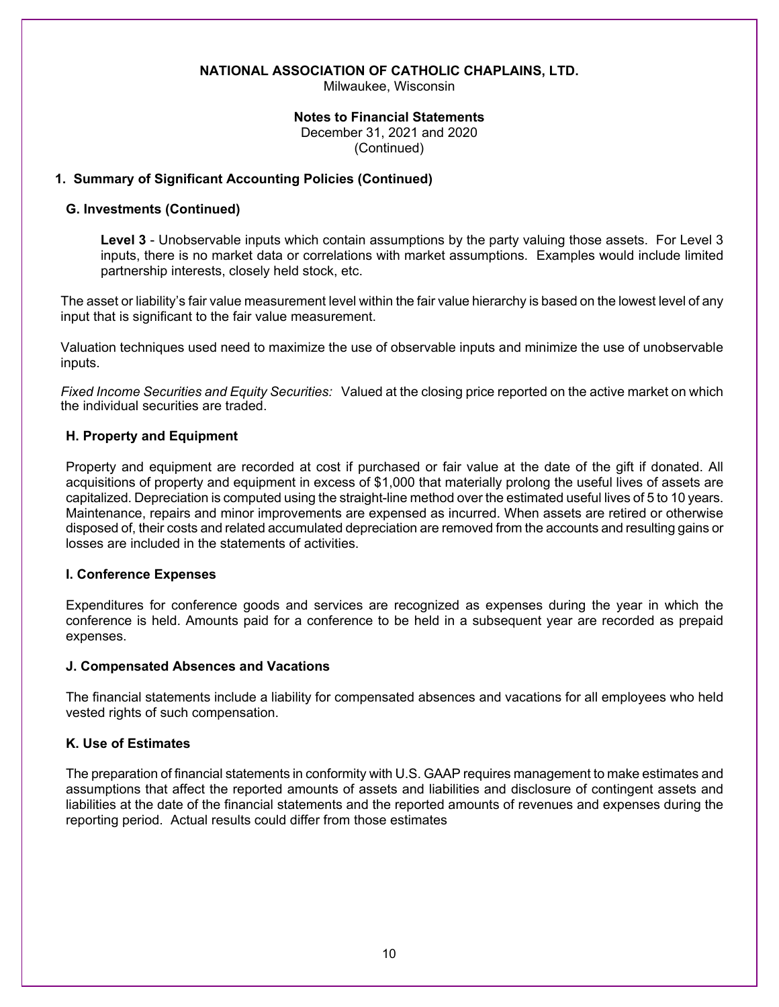Milwaukee, Wisconsin

#### **Notes to Financial Statements**

 December 31, 2021 and 2020 (Continued)

### **1. Summary of Significant Accounting Policies (Continued)**

### **G. Investments (Continued)**

**Level 3** - Unobservable inputs which contain assumptions by the party valuing those assets. For Level 3 inputs, there is no market data or correlations with market assumptions. Examples would include limited partnership interests, closely held stock, etc.

The asset or liability's fair value measurement level within the fair value hierarchy is based on the lowest level of any input that is significant to the fair value measurement.

Valuation techniques used need to maximize the use of observable inputs and minimize the use of unobservable inputs.

*Fixed Income Securities and Equity Securities:* Valued at the closing price reported on the active market on which the individual securities are traded.

### **H. Property and Equipment**

Property and equipment are recorded at cost if purchased or fair value at the date of the gift if donated. All acquisitions of property and equipment in excess of \$1,000 that materially prolong the useful lives of assets are capitalized. Depreciation is computed using the straight-line method over the estimated useful lives of 5 to 10 years. Maintenance, repairs and minor improvements are expensed as incurred. When assets are retired or otherwise disposed of, their costs and related accumulated depreciation are removed from the accounts and resulting gains or losses are included in the statements of activities.

### **I. Conference Expenses**

Expenditures for conference goods and services are recognized as expenses during the year in which the conference is held. Amounts paid for a conference to be held in a subsequent year are recorded as prepaid expenses.

### **J. Compensated Absences and Vacations**

The financial statements include a liability for compensated absences and vacations for all employees who held vested rights of such compensation.

### **K. Use of Estimates**

The preparation of financial statements in conformity with U.S. GAAP requires management to make estimates and assumptions that affect the reported amounts of assets and liabilities and disclosure of contingent assets and liabilities at the date of the financial statements and the reported amounts of revenues and expenses during the reporting period. Actual results could differ from those estimates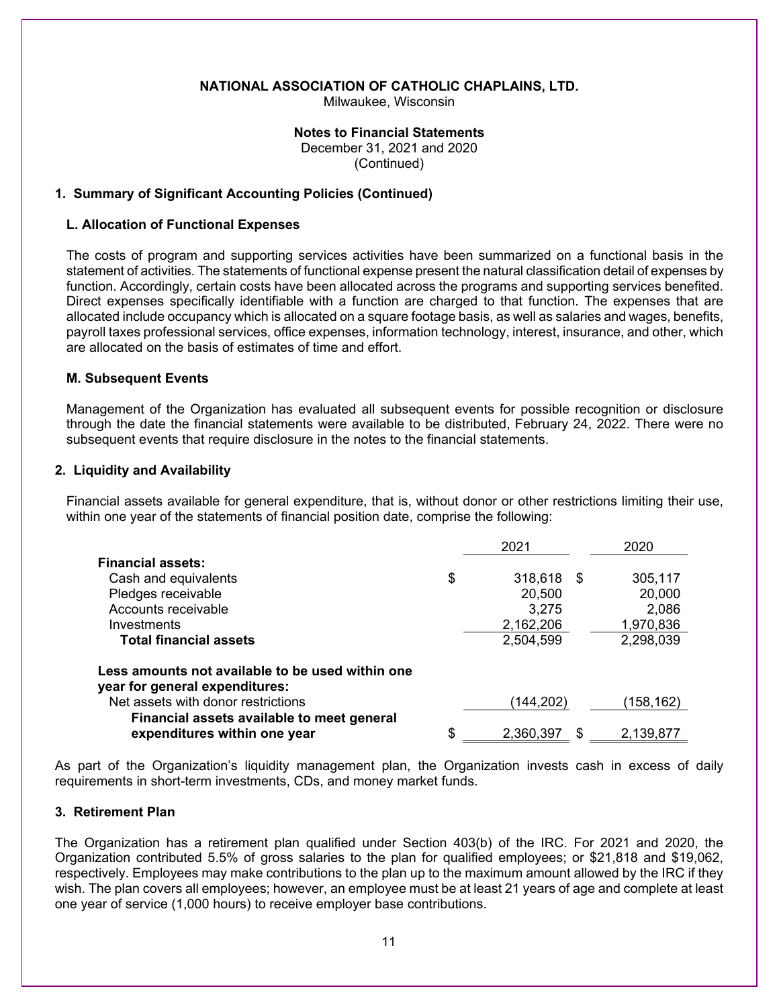Milwaukee, Wisconsin

### **Notes to Financial Statements**

 December 31, 2021 and 2020 (Continued)

### **1. Summary of Significant Accounting Policies (Continued)**

#### **L. Allocation of Functional Expenses**

The costs of program and supporting services activities have been summarized on a functional basis in the statement of activities. The statements of functional expense present the natural classification detail of expenses by function. Accordingly, certain costs have been allocated across the programs and supporting services benefited. Direct expenses specifically identifiable with a function are charged to that function. The expenses that are allocated include occupancy which is allocated on a square footage basis, as well as salaries and wages, benefits, payroll taxes professional services, office expenses, information technology, interest, insurance, and other, which are allocated on the basis of estimates of time and effort.

### **M. Subsequent Events**

Management of the Organization has evaluated all subsequent events for possible recognition or disclosure through the date the financial statements were available to be distributed, February 24, 2022. There were no subsequent events that require disclosure in the notes to the financial statements.

#### **2. Liquidity and Availability**

Financial assets available for general expenditure, that is, without donor or other restrictions limiting their use, within one year of the statements of financial position date, comprise the following:

|                                                  | 2021                  | 2020      |
|--------------------------------------------------|-----------------------|-----------|
| <b>Financial assets:</b>                         |                       |           |
| Cash and equivalents                             | \$<br>318,618<br>- \$ | 305,117   |
| Pledges receivable                               | 20,500                | 20,000    |
| Accounts receivable                              | 3,275                 | 2,086     |
| Investments                                      | 2,162,206             | 1,970,836 |
| <b>Total financial assets</b>                    | 2,504,599             | 2,298,039 |
| Less amounts not available to be used within one |                       |           |
| year for general expenditures:                   |                       |           |
| Net assets with donor restrictions               | (144,202)             | (158,162) |
| Financial assets available to meet general       |                       |           |
| expenditures within one year                     | \$<br>2,360,397<br>S  | 2,139,877 |

As part of the Organization's liquidity management plan, the Organization invests cash in excess of daily requirements in short-term investments, CDs, and money market funds.

### **3. Retirement Plan**

The Organization has a retirement plan qualified under Section 403(b) of the IRC. For 2021 and 2020, the Organization contributed 5.5% of gross salaries to the plan for qualified employees; or \$21,818 and \$19,062, respectively. Employees may make contributions to the plan up to the maximum amount allowed by the IRC if they wish. The plan covers all employees; however, an employee must be at least 21 years of age and complete at least one year of service (1,000 hours) to receive employer base contributions.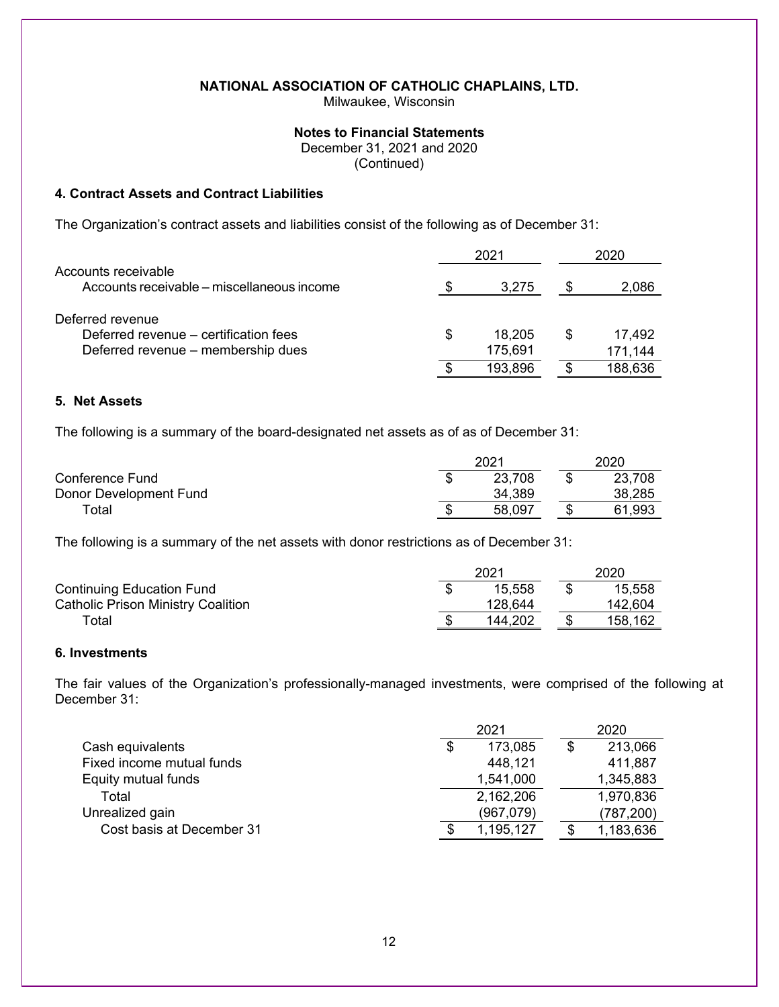Milwaukee, Wisconsin

### **Notes to Financial Statements**

December 31, 2021 and 2020

(Continued)

### **4. Contract Assets and Contract Liabilities**

The Organization's contract assets and liabilities consist of the following as of December 31:

|                                                                   |    | 2021    | 2020 |         |  |
|-------------------------------------------------------------------|----|---------|------|---------|--|
| Accounts receivable<br>Accounts receivable – miscellaneous income |    | 3.275   | S    | 2,086   |  |
| Deferred revenue                                                  |    |         |      |         |  |
| Deferred revenue – certification fees                             | S  | 18.205  | S    | 17.492  |  |
| Deferred revenue – membership dues                                |    | 175,691 |      | 171,144 |  |
|                                                                   | \$ | 193,896 |      | 188,636 |  |

### **5. Net Assets**

The following is a summary of the board-designated net assets as of as of December 31:

|                        | 2021   |  |        |  |
|------------------------|--------|--|--------|--|
| Conference Fund        | 23,708 |  | 23,708 |  |
| Donor Development Fund | 34,389 |  | 38,285 |  |
| $\tau$ otal            | 58,097 |  | 61,993 |  |

The following is a summary of the net assets with donor restrictions as of December 31:

|                                           | 2021    | 2020    |
|-------------------------------------------|---------|---------|
| <b>Continuing Education Fund</b>          | 15.558  | 15,558  |
| <b>Catholic Prison Ministry Coalition</b> | 128,644 | 142.604 |
| ™otal                                     | 144.202 | 158,162 |

## **6. Investments**

The fair values of the Organization's professionally-managed investments, were comprised of the following at December 31:

|                           | 2021 |           |   | 2020       |  |
|---------------------------|------|-----------|---|------------|--|
| Cash equivalents          |      | 173,085   | S | 213,066    |  |
| Fixed income mutual funds |      | 448,121   |   | 411,887    |  |
| Equity mutual funds       |      | 1,541,000 |   | 1,345,883  |  |
| Total                     |      | 2,162,206 |   | 1,970,836  |  |
| Unrealized gain           |      | (967,079) |   | (787, 200) |  |
| Cost basis at December 31 |      | 1,195,127 |   | 1,183,636  |  |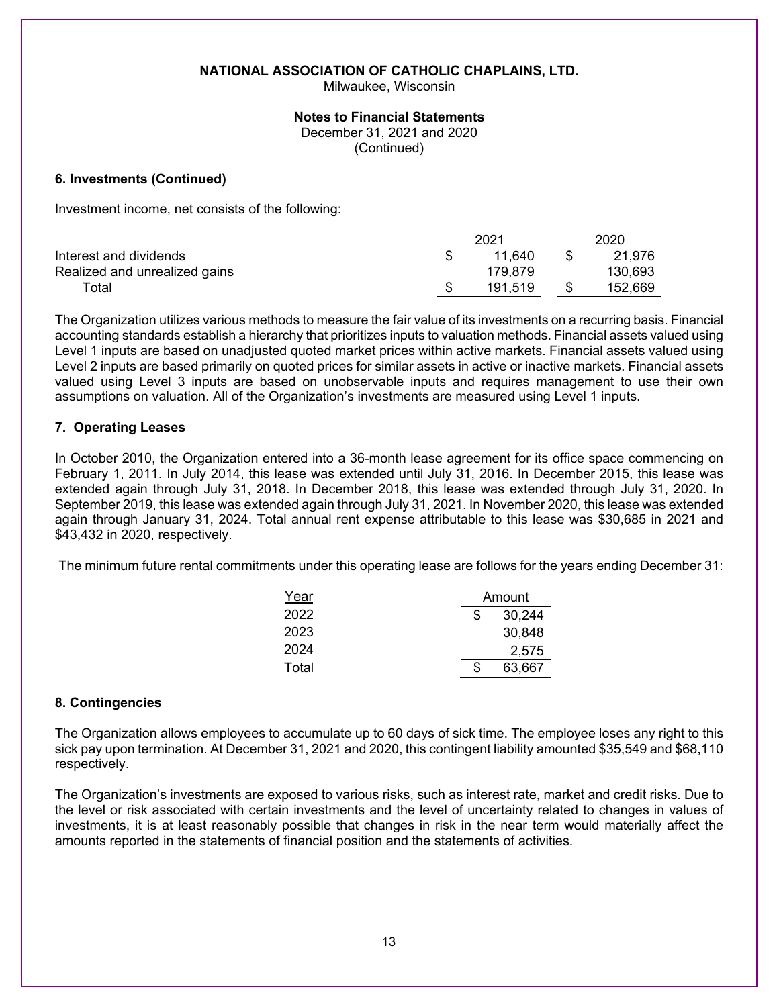Milwaukee, Wisconsin

#### **Notes to Financial Statements**

December 31, 2021 and 2020

(Continued)

### **6. Investments (Continued)**

Investment income, net consists of the following:

|                               | 2021          | 2020    |
|-------------------------------|---------------|---------|
| Interest and dividends        | 11.640        | 21,976  |
| Realized and unrealized gains | 179,879       | 130,693 |
| ⊤otal                         | \$<br>191.519 | 152,669 |

The Organization utilizes various methods to measure the fair value of its investments on a recurring basis. Financial accounting standards establish a hierarchy that prioritizes inputs to valuation methods. Financial assets valued using Level 1 inputs are based on unadjusted quoted market prices within active markets. Financial assets valued using Level 2 inputs are based primarily on quoted prices for similar assets in active or inactive markets. Financial assets valued using Level 3 inputs are based on unobservable inputs and requires management to use their own assumptions on valuation. All of the Organization's investments are measured using Level 1 inputs.

## **7. Operating Leases**

In October 2010, the Organization entered into a 36-month lease agreement for its office space commencing on February 1, 2011. In July 2014, this lease was extended until July 31, 2016. In December 2015, this lease was extended again through July 31, 2018. In December 2018, this lease was extended through July 31, 2020. In September 2019, this lease was extended again through July 31, 2021. In November 2020, this lease was extended again through January 31, 2024. Total annual rent expense attributable to this lease was \$30,685 in 2021 and \$43,432 in 2020, respectively.

The minimum future rental commitments under this operating lease are follows for the years ending December 31:

| Year  | Amount       |  |  |
|-------|--------------|--|--|
| 2022  | \$<br>30,244 |  |  |
| 2023  | 30,848       |  |  |
| 2024  | 2,575        |  |  |
| Total | \$<br>63,667 |  |  |

### **8. Contingencies**

The Organization allows employees to accumulate up to 60 days of sick time. The employee loses any right to this sick pay upon termination. At December 31, 2021 and 2020, this contingent liability amounted \$35,549 and \$68,110 respectively.

The Organization's investments are exposed to various risks, such as interest rate, market and credit risks. Due to the level or risk associated with certain investments and the level of uncertainty related to changes in values of investments, it is at least reasonably possible that changes in risk in the near term would materially affect the amounts reported in the statements of financial position and the statements of activities.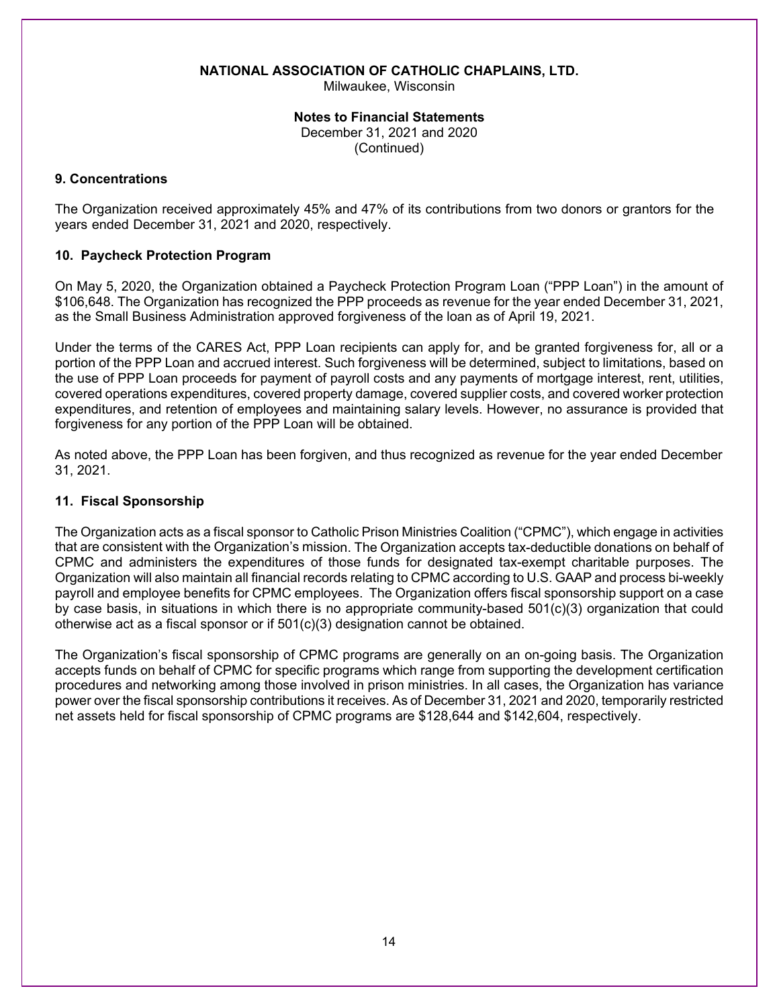Milwaukee, Wisconsin

### **Notes to Financial Statements**  December 31, 2021 and 2020 (Continued)

### **9. Concentrations**

The Organization received approximately 45% and 47% of its contributions from two donors or grantors for the years ended December 31, 2021 and 2020, respectively.

## **10. Paycheck Protection Program**

On May 5, 2020, the Organization obtained a Paycheck Protection Program Loan ("PPP Loan") in the amount of \$106,648. The Organization has recognized the PPP proceeds as revenue for the year ended December 31, 2021, as the Small Business Administration approved forgiveness of the loan as of April 19, 2021.

Under the terms of the CARES Act, PPP Loan recipients can apply for, and be granted forgiveness for, all or a portion of the PPP Loan and accrued interest. Such forgiveness will be determined, subject to limitations, based on the use of PPP Loan proceeds for payment of payroll costs and any payments of mortgage interest, rent, utilities, covered operations expenditures, covered property damage, covered supplier costs, and covered worker protection expenditures, and retention of employees and maintaining salary levels. However, no assurance is provided that forgiveness for any portion of the PPP Loan will be obtained.

As noted above, the PPP Loan has been forgiven, and thus recognized as revenue for the year ended December 31, 2021.

### **11. Fiscal Sponsorship**

The Organization acts as a fiscal sponsor to Catholic Prison Ministries Coalition ("CPMC"), which engage in activities that are consistent with the Organization's mission. The Organization accepts tax-deductible donations on behalf of CPMC and administers the expenditures of those funds for designated tax-exempt charitable purposes. The Organization will also maintain all financial records relating to CPMC according to U.S. GAAP and process bi-weekly payroll and employee benefits for CPMC employees. The Organization offers fiscal sponsorship support on a case by case basis, in situations in which there is no appropriate community-based 501(c)(3) organization that could otherwise act as a fiscal sponsor or if  $501(c)(3)$  designation cannot be obtained.

The Organization's fiscal sponsorship of CPMC programs are generally on an on-going basis. The Organization accepts funds on behalf of CPMC for specific programs which range from supporting the development certification procedures and networking among those involved in prison ministries. In all cases, the Organization has variance power over the fiscal sponsorship contributions it receives. As of December 31, 2021 and 2020, temporarily restricted net assets held for fiscal sponsorship of CPMC programs are \$128,644 and \$142,604, respectively.